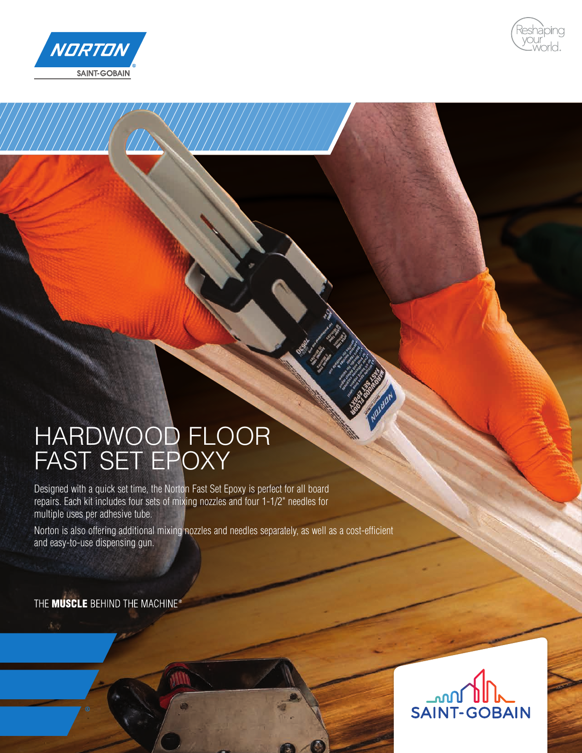



## HARDWOOD FLOOR FAST SET EPOXY

Designed with a quick set time, the Norton Fast Set Epoxy is perfect for all board repairs. Each kit includes four sets of mixing nozzles and four 1-1/2" needles for multiple uses per adhesive tube.

Norton is also offering additional mixing nozzles and needles separately, as well as a cost-efficient and easy-to-use dispensing gun.

THE MUSCLE BEHIND THE MACHINE®